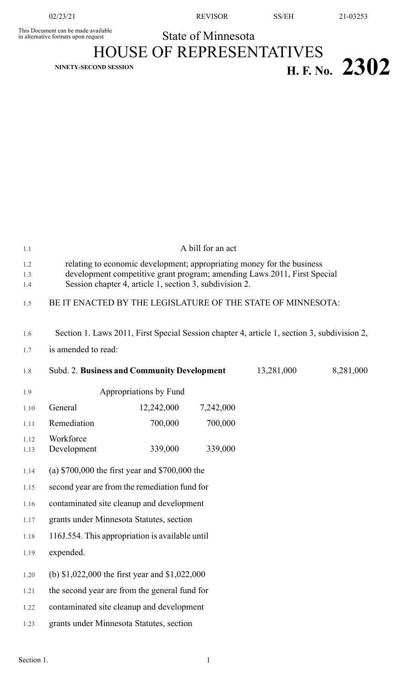This Document can be made available<br>in alternative formats upon request **State of Minnesota** 

HOUSE OF REPRESENTATIVES  $H.$  **F.** No. **2302** 

1.1 A bill for an act

| 1.2  | relating to economic development; appropriating money for the business                      |                                                             |           |            |           |
|------|---------------------------------------------------------------------------------------------|-------------------------------------------------------------|-----------|------------|-----------|
| 1.3  | development competitive grant program; amending Laws 2011, First Special                    |                                                             |           |            |           |
| 1.4  | Session chapter 4, article 1, section 3, subdivision 2.                                     |                                                             |           |            |           |
| 1.5  |                                                                                             | BE IT ENACTED BY THE LEGISLATURE OF THE STATE OF MINNESOTA: |           |            |           |
| 1.6  | Section 1. Laws 2011, First Special Session chapter 4, article 1, section 3, subdivision 2, |                                                             |           |            |           |
| 1.7  | is amended to read:                                                                         |                                                             |           |            |           |
| 1.8  |                                                                                             | Subd. 2. Business and Community Development                 |           | 13,281,000 | 8,281,000 |
| 1.9  |                                                                                             | Appropriations by Fund                                      |           |            |           |
| 1.10 | General                                                                                     | 12,242,000                                                  | 7,242,000 |            |           |
| 1.11 | Remediation                                                                                 | 700,000                                                     | 700,000   |            |           |
| 1.12 | Workforce                                                                                   |                                                             |           |            |           |
| 1.13 | Development                                                                                 | 339,000                                                     | 339,000   |            |           |
| 1.14 | (a) $$700,000$ the first year and $$700,000$ the                                            |                                                             |           |            |           |
| 1.15 | second year are from the remediation fund for                                               |                                                             |           |            |           |
| 1.16 | contaminated site cleanup and development                                                   |                                                             |           |            |           |
| 1.17 | grants under Minnesota Statutes, section                                                    |                                                             |           |            |           |
| 1.18 | 116J.554. This appropriation is available until                                             |                                                             |           |            |           |
| 1.19 | expended.                                                                                   |                                                             |           |            |           |
| 1.20 | (b) $$1,022,000$ the first year and $$1,022,000$                                            |                                                             |           |            |           |
| 1.21 | the second year are from the general fund for                                               |                                                             |           |            |           |
| 1.22 | contaminated site cleanup and development                                                   |                                                             |           |            |           |
| 1.23 |                                                                                             | grants under Minnesota Statutes, section                    |           |            |           |
|      |                                                                                             |                                                             |           |            |           |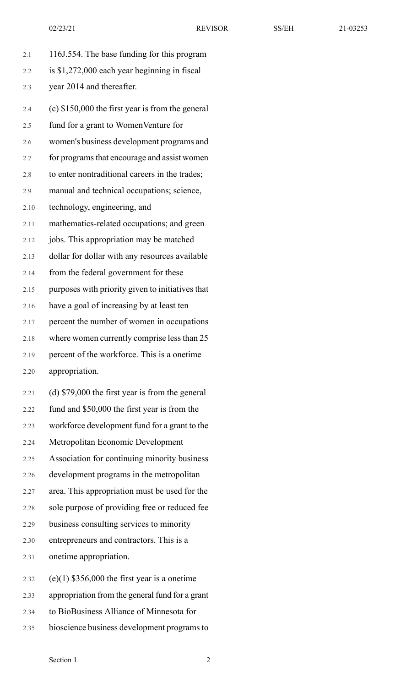- 2.1 116J.554. The base funding for this program 2.2 is \$1,272,000 each year beginning in fiscal 2.3 year 2014 and thereafter. 2.4 (c) \$150,000 the first year is from the general 2.5 fund for a grant to WomenVenture for 2.6 women's business development programs and 2.7 for programs that encourage and assist women 2.8 to enter nontraditional careers in the trades; 2.9 manual and technical occupations; science, 2.10 technology, engineering, and 2.11 mathematics-related occupations; and green 2.12 jobs. This appropriation may be matched 2.13 dollar for dollar with any resources available 2.14 from the federal government for these 2.15 purposes with priority given to initiatives that 2.16 have a goal of increasing by at least ten 2.17 percent the number of women in occupations 2.18 where women currently comprise less than 25 2.19 percent of the workforce. This is a onetime 2.20 appropriation. 2.21 (d) \$79,000 the first year is from the general 2.22 fund and \$50,000 the first year is from the 2.23 workforce development fund for a grant to the 2.24 Metropolitan Economic Development 2.25 Association for continuing minority business 2.26 development programs in the metropolitan 2.27 area. This appropriation must be used for the 2.28 sole purpose of providing free or reduced fee
- 2.29 business consulting services to minority
- 2.30 entrepreneurs and contractors. This is a
- 2.31 onetime appropriation.
- 2.32 (e)(1)  $$356,000$  the first year is a onetime
- 2.33 appropriation from the general fund for a grant
- 2.34 to BioBusiness Alliance of Minnesota for
- 2.35 bioscience business development programsto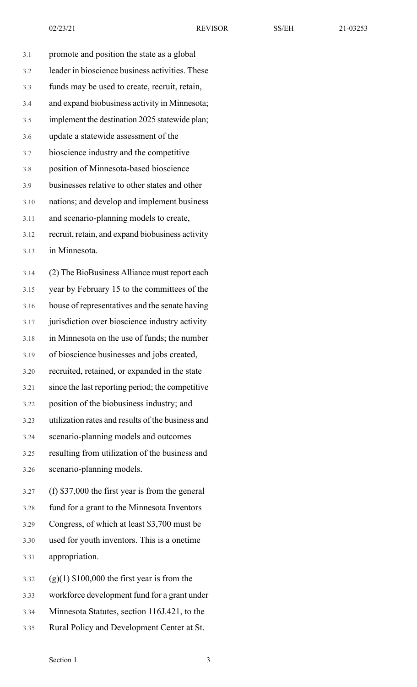3.1 promote and position the state as a global 3.2 leader in bioscience business activities. These 3.3 funds may be used to create, recruit, retain, 3.4 and expand biobusiness activity in Minnesota; 3.5 implement the destination 2025 statewide plan; 3.6 update a statewide assessment of the 3.7 bioscience industry and the competitive 3.8 position of Minnesota-based bioscience 3.9 businesses relative to other states and other 3.10 nations; and develop and implement business 3.11 and scenario-planning models to create, 3.12 recruit, retain, and expand biobusiness activity 3.13 in Minnesota. 3.14 (2) The BioBusiness Alliance must report each 3.15 year by February 15 to the committees of the 3.16 house of representatives and the senate having 3.17 jurisdiction over bioscience industry activity 3.18 in Minnesota on the use of funds; the number 3.19 of bioscience businesses and jobs created, 3.20 recruited, retained, or expanded in the state 3.21 since the last reporting period; the competitive 3.22 position of the biobusiness industry; and

3.23 utilization rates and results of the business and

3.24 scenario-planning models and outcomes

3.25 resulting from utilization of the business and

3.26 scenario-planning models.

3.27 (f) \$37,000 the first year is from the general

3.28 fund for a grant to the Minnesota Inventors

3.29 Congress, of which at least \$3,700 must be

3.30 used for youth inventors. This is a onetime 3.31 appropriation.

 $3.32$  (g)(1) \$100,000 the first year is from the

3.33 workforce development fund for a grant under

3.34 Minnesota Statutes, section 116J.421, to the

3.35 Rural Policy and Development Center at St.

Section 1. 3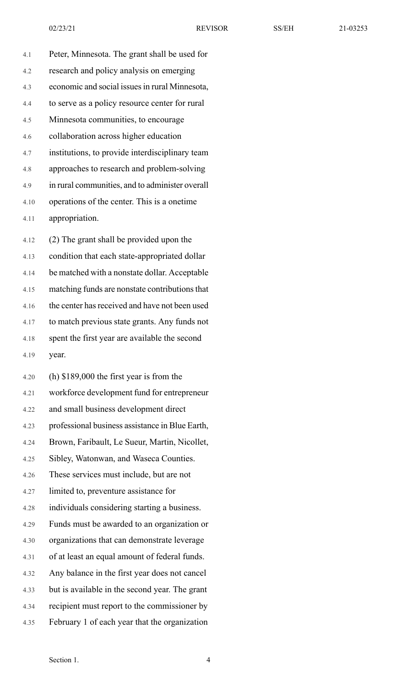4.1 Peter, Minnesota. The grant shall be used for 4.2 research and policy analysis on emerging 4.3 economic and social issuesin rural Minnesota, 4.4 to serve as a policy resource center for rural 4.5 Minnesota communities, to encourage 4.6 collaboration across higher education 4.7 institutions, to provide interdisciplinary team 4.8 approaches to research and problem-solving 4.9 in rural communities, and to administer overall 4.10 operations of the center. This is a onetime 4.11 appropriation. 4.12 (2) The grant shall be provided upon the

4.13 condition that each state-appropriated dollar 4.14 be matched with a nonstate dollar. Acceptable 4.15 matching funds are nonstate contributions that 4.16 the center has received and have not been used 4.17 to match previous state grants. Any funds not 4.18 spent the first year are available the second 4.19 year.

4.20 (h) \$189,000 the first year is from the 4.21 workforce development fund for entrepreneur 4.22 and small business development direct 4.23 professional business assistance in Blue Earth, 4.24 Brown, Faribault, Le Sueur, Martin, Nicollet, 4.25 Sibley, Watonwan, and Waseca Counties. 4.26 These services must include, but are not 4.27 limited to, preventure assistance for 4.28 individuals considering starting a business. 4.29 Funds must be awarded to an organization or 4.30 organizations that can demonstrate leverage 4.31 of at least an equal amount of federal funds. 4.32 Any balance in the first year does not cancel 4.33 but is available in the second year. The grant 4.34 recipient must report to the commissioner by 4.35 February 1 of each year that the organization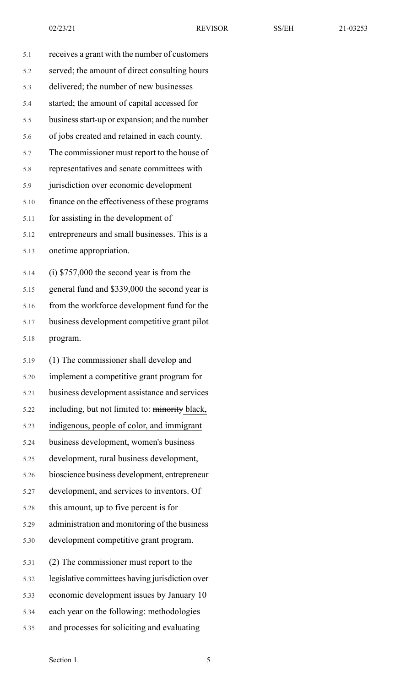| 5.1  | receives a grant with the number of customers  |
|------|------------------------------------------------|
| 5.2  | served; the amount of direct consulting hours  |
| 5.3  | delivered; the number of new businesses        |
| 5.4  | started; the amount of capital accessed for    |
| 5.5  | business start-up or expansion; and the number |
| 5.6  | of jobs created and retained in each county.   |
| 5.7  | The commissioner must report to the house of   |
| 5.8  | representatives and senate committees with     |
| 5.9  | jurisdiction over economic development         |
| 5.10 | finance on the effectiveness of these programs |
| 5.11 | for assisting in the development of            |
| 5.12 | entrepreneurs and small businesses. This is a  |
| 5.13 | onetime appropriation.                         |
| 5.14 | $(i)$ \$757,000 the second year is from the    |
| 5.15 | general fund and \$339,000 the second year is  |
| 5.16 | from the workforce development fund for the    |
| 5.17 | business development competitive grant pilot   |
| 5.18 | program.                                       |
| 5.19 | (1) The commissioner shall develop and         |

| 5.20 | implement a competitive grant program for       |
|------|-------------------------------------------------|
| 5.21 | business development assistance and services    |
| 5.22 | including, but not limited to: minority black,  |
| 5.23 | indigenous, people of color, and immigrant      |
| 5.24 | business development, women's business          |
| 5.25 | development, rural business development,        |
| 5.26 | bioscience business development, entrepreneur   |
| 5.27 | development, and services to inventors. Of      |
| 5.28 | this amount, up to five percent is for          |
| 5.29 | administration and monitoring of the business   |
| 5.30 | development competitive grant program.          |
| 5.31 | (2) The commissioner must report to the         |
| 5.32 | legislative committees having jurisdiction over |
| 5.33 | economic development issues by January 10       |
| 5.34 | each year on the following: methodologies       |
| 5.35 | and processes for soliciting and evaluating     |
|      |                                                 |

Section 1. 5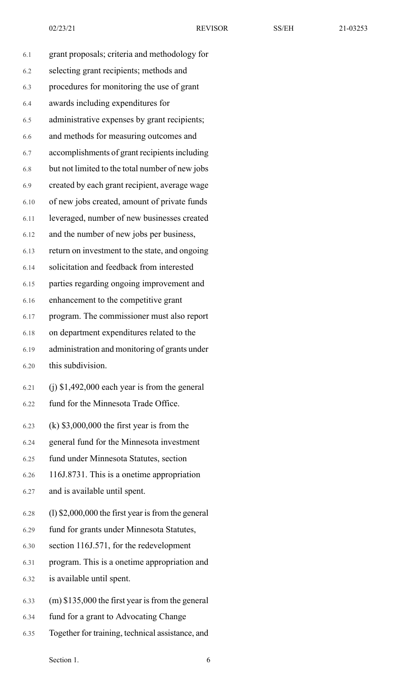02/23/21 REVISOR SS/EH 21-03253

| 6.1  | grant proposals; criteria and methodology for        |
|------|------------------------------------------------------|
| 6.2  | selecting grant recipients; methods and              |
| 6.3  | procedures for monitoring the use of grant           |
| 6.4  | awards including expenditures for                    |
| 6.5  | administrative expenses by grant recipients;         |
| 6.6  | and methods for measuring outcomes and               |
| 6.7  | accomplishments of grant recipients including        |
| 6.8  | but not limited to the total number of new jobs      |
| 6.9  | created by each grant recipient, average wage        |
| 6.10 | of new jobs created, amount of private funds         |
| 6.11 | leveraged, number of new businesses created          |
| 6.12 | and the number of new jobs per business,             |
| 6.13 | return on investment to the state, and ongoing       |
| 6.14 | solicitation and feedback from interested            |
| 6.15 | parties regarding ongoing improvement and            |
| 6.16 | enhancement to the competitive grant                 |
| 6.17 | program. The commissioner must also report           |
| 6.18 | on department expenditures related to the            |
| 6.19 | administration and monitoring of grants under        |
| 6.20 | this subdivision.                                    |
| 6.21 | $(i)$ \$1,492,000 each year is from the general      |
| 6.22 | fund for the Minnesota Trade Office.                 |
| 6.23 | $(k)$ \$3,000,000 the first year is from the         |
| 6.24 | general fund for the Minnesota investment            |
| 6.25 | fund under Minnesota Statutes, section               |
| 6.26 | 116J.8731. This is a onetime appropriation           |
| 6.27 | and is available until spent.                        |
| 6.28 | $(1)$ \$2,000,000 the first year is from the general |
| 6.29 | fund for grants under Minnesota Statutes,            |
| 6.30 | section 116J.571, for the redevelopment              |
| 6.31 | program. This is a onetime appropriation and         |
| 6.32 | is available until spent.                            |
| 6.33 | $(m)$ \$135,000 the first year is from the general   |
| 6.34 | fund for a grant to Advocating Change                |
|      |                                                      |

6.35 Together for training, technical assistance, and

Section 1. 6